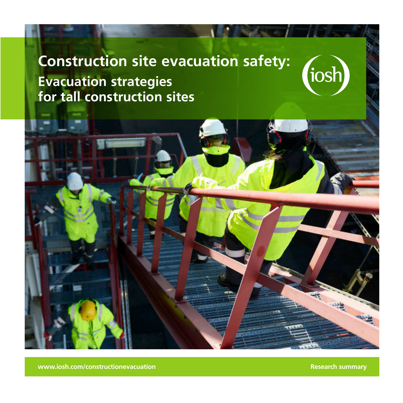# **Construction site evacuation safety: Evacuation strategies for tall construction sites**



**www.iosh.com/constructionevacuation Research summary Research summary** 

tiosh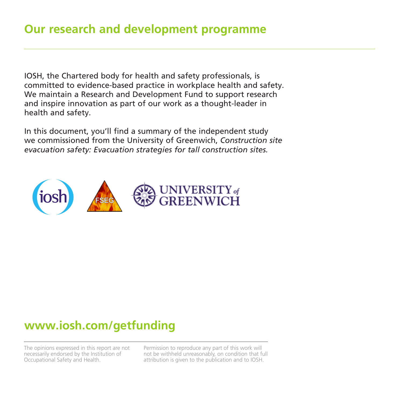IOSH, the Chartered body for health and safety professionals, is committed to evidence-based practice in workplace health and safety. We maintain a Research and Development Fund to support research and inspire innovation as part of our work as a thought-leader in health and safety.

In this document, you'll find a summary of the independent study we commissioned from the University of Greenwich, *Construction site evacuation safety: Evacuation strategies for tall construction sites.*



## **www.iosh.com/getfunding**

The opinions expressed in this report are not necessarily endorsed by the Institution of Occupational Safety and Health.

Permission to reproduce any part of this work will not be withheld unreasonably, on condition that full attribution is given to the publication and to IOSH.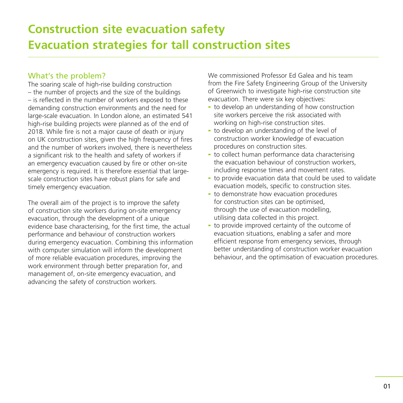## **Construction site evacuation safety Evacuation strategies for tall construction sites**

## What's the problem?

The soaring scale of high-rise building construction – the number of projects and the size of the buildings – is reflected in the number of workers exposed to these demanding construction environments and the need for large-scale evacuation. In London alone, an estimated 541 high-rise building projects were planned as of the end of 2018. While fire is not a major cause of death or injury on UK construction sites, given the high frequency of fires and the number of workers involved, there is nevertheless a significant risk to the health and safety of workers if an emergency evacuation caused by fire or other on-site emergency is required. It is therefore essential that largescale construction sites have robust plans for safe and timely emergency evacuation.

The overall aim of the project is to improve the safety of construction site workers during on-site emergency evacuation, through the development of a unique evidence base characterising, for the first time, the actual performance and behaviour of construction workers during emergency evacuation. Combining this information with computer simulation will inform the development of more reliable evacuation procedures, improving the work environment through better preparation for, and management of, on-site emergency evacuation, and advancing the safety of construction workers.

We commissioned Professor Ed Galea and his team from the Fire Safety Engineering Group of the University of Greenwich to investigate high-rise construction site evacuation. There were six key objectives:

- to develop an understanding of how construction site workers perceive the risk associated with working on high-rise construction sites.
- to develop an understanding of the level of construction worker knowledge of evacuation procedures on construction sites.
- to collect human performance data characterising the evacuation behaviour of construction workers, including response times and movement rates.
- to provide evacuation data that could be used to validate evacuation models, specific to construction sites.
- to demonstrate how evacuation procedures for construction sites can be optimised, through the use of evacuation modelling, utilising data collected in this project.
- to provide improved certainty of the outcome of evacuation situations, enabling a safer and more efficient response from emergency services, through better understanding of construction worker evacuation behaviour, and the optimisation of evacuation procedures.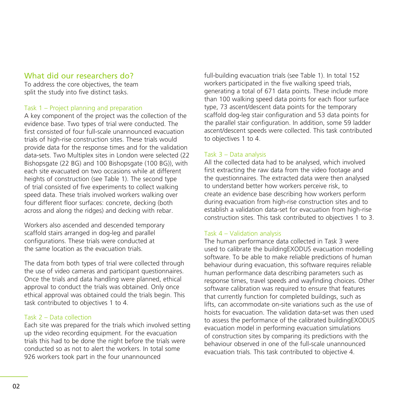## What did our researchers do?

To address the core objectives, the team split the study into five distinct tasks.

## Task 1 – Project planning and preparation

A key component of the project was the collection of the evidence base. Two types of trial were conducted. The first consisted of four full-scale unannounced evacuation trials of high-rise construction sites. These trials would provide data for the response times and for the validation data-sets. Two Multiplex sites in London were selected (22 Bishopsgate (22 BG) and 100 Bishopsgate (100 BG)), with each site evacuated on two occasions while at different heights of construction (see Table 1). The second type of trial consisted of five experiments to collect walking speed data. These trials involved workers walking over four different floor surfaces: concrete, decking (both across and along the ridges) and decking with rebar.

Workers also ascended and descended temporary scaffold stairs arranged in dog-leg and parallel configurations. These trials were conducted at the same location as the evacuation trials.

The data from both types of trial were collected through the use of video cameras and participant questionnaires. Once the trials and data handling were planned, ethical approval to conduct the trials was obtained. Only once ethical approval was obtained could the trials begin. This task contributed to objectives 1 to 4.

## Task 2 – Data collection

Each site was prepared for the trials which involved setting up the video recording equipment. For the evacuation trials this had to be done the night before the trials were conducted so as not to alert the workers. In total some 926 workers took part in the four unannounced

full-building evacuation trials (see Table 1). In total 152 workers participated in the five walking speed trials, generating a total of 671 data points. These include more than 100 walking speed data points for each floor surface type, 73 ascent/descent data points for the temporary scaffold dog-leg stair configuration and 53 data points for the parallel stair configuration. In addition, some 59 ladder ascent/descent speeds were collected. This task contributed to objectives 1 to 4.

## Task 3 – Data analysis

All the collected data had to be analysed, which involved first extracting the raw data from the video footage and the questionnaires. The extracted data were then analysed to understand better how workers perceive risk, to create an evidence base describing how workers perform during evacuation from high-rise construction sites and to establish a validation data-set for evacuation from high-rise construction sites. This task contributed to objectives 1 to 3.

## Task 4 – Validation analysis

The human performance data collected in Task 3 were used to calibrate the buildingEXODUS evacuation modelling software. To be able to make reliable predictions of human behaviour during evacuation, this software requires reliable human performance data describing parameters such as response times, travel speeds and wayfinding choices. Other software calibration was required to ensure that features that currently function for completed buildings, such as lifts, can accommodate on-site variations such as the use of hoists for evacuation. The validation data-set was then used to assess the performance of the calibrated buildingEXODUS evacuation model in performing evacuation simulations of construction sites by comparing its predictions with the behaviour observed in one of the full-scale unannounced evacuation trials. This task contributed to objective 4.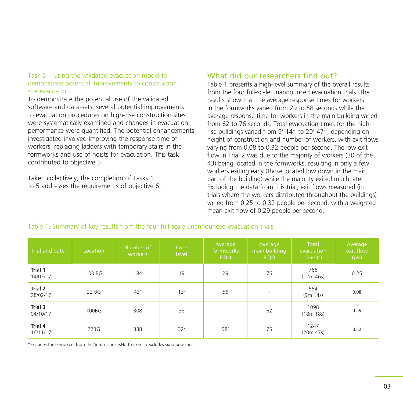### Task 5 – Using the validated evacuation model to demonstrate potential improvements to construction site evacuation.

To demonstrate the potential use of the validated software and data-sets, several potential improvements to evacuation procedures on high-rise construction sites were systematically examined and changes in evacuation performance were quantified. The potential enhancements investigated involved improving the response time of workers, replacing ladders with temporary stairs in the formworks and use of hoists for evacuation. This task contributed to objective 5.

Taken collectively, the completion of Tasks 1 to 5 addresses the requirements of objective 6.

## What did our researchers find out?

Table 1 presents a high-level summary of the overall results from the four full-scale unannounced evacuation trials. The results show that the average response times for workers in the formworks varied from 29 to 58 seconds while the average response time for workers in the main building varied from 62 to 76 seconds. Total evacuation times for the highrise buildings varied from 9' 14" to 20' 47", depending on height of construction and number of workers, with exit flows varying from 0.08 to 0.32 people per second. The low exit flow in Trial 2 was due to the majority of workers (30 of the 43) being located in the formworks, resulting in only a few workers exiting early (those located low down in the main part of the building) while the majority exited much later. Excluding the data from this trial, exit flows measured (in trials where the workers distributed throughout the buildings) varied from 0.25 to 0.32 people per second, with a weighted mean exit flow of 0.29 people per second.

| Trial and date             | Location | Number of<br>workers | Core<br>level   | Average<br>formworks<br>RT(s) | Average<br>main building<br>RT(s) | Total<br>evacuation<br>time (s) | Average<br>exit flow<br>(p/s) |
|----------------------------|----------|----------------------|-----------------|-------------------------------|-----------------------------------|---------------------------------|-------------------------------|
| Trial 1<br>14/02/17        | 100 BG   | 184                  | 19              | 29                            | 76                                | 766<br>(12m 46s)                | 0.25                          |
| Trial 2<br>28/02/17        | 22 BG    | $43*$                | 13 <sup>x</sup> | 56                            | $\overline{\phantom{a}}$          | 554<br>(9m 14s)                 | 0.08                          |
| Trial 3<br>04/10/17        | 100BG    | 308                  | 38              |                               | 62                                | 1098<br>(18m 18s)               | 0.29                          |
| <b>Trial 4</b><br>16/11/17 | 22BG     | 388                  | 32 <sup>x</sup> | 58*                           | 75                                | 1247<br>(20m 47s)               | 0.32                          |

#### Table 1. Summary of key results from the four full-scale unannounced evacuation trials

\*Excludes three workers from the South Core; XNorth Core; +excludes six supervisors.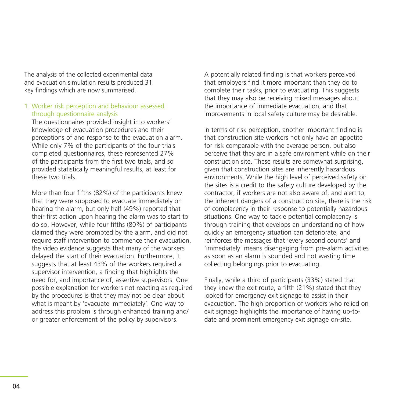The analysis of the collected experimental data and evacuation simulation results produced 31 key findings which are now summarised.

### 1. Worker risk perception and behaviour assessed through questionnaire analysis

The questionnaires provided insight into workers' knowledge of evacuation procedures and their perceptions of and response to the evacuation alarm. While only 7% of the participants of the four trials completed questionnaires, these represented 27% of the participants from the first two trials, and so provided statistically meaningful results, at least for these two trials.

More than four fifths (82%) of the participants knew that they were supposed to evacuate immediately on hearing the alarm, but only half (49%) reported that their first action upon hearing the alarm was to start to do so. However, while four fifths (80%) of participants claimed they were prompted by the alarm, and did not require staff intervention to commence their evacuation, the video evidence suggests that many of the workers delayed the start of their evacuation. Furthermore, it suggests that at least 43% of the workers required a supervisor intervention, a finding that highlights the need for, and importance of, assertive supervisors. One possible explanation for workers not reacting as required by the procedures is that they may not be clear about what is meant by 'evacuate immediately'. One way to address this problem is through enhanced training and/ or greater enforcement of the policy by supervisors.

A potentially related finding is that workers perceived that employers find it more important than they do to complete their tasks, prior to evacuating. This suggests that they may also be receiving mixed messages about the importance of immediate evacuation, and that improvements in local safety culture may be desirable.

In terms of risk perception, another important finding is that construction site workers not only have an appetite for risk comparable with the average person, but also perceive that they are in a safe environment while on their construction site. These results are somewhat surprising, given that construction sites are inherently hazardous environments. While the high level of perceived safety on the sites is a credit to the safety culture developed by the contractor, if workers are not also aware of, and alert to, the inherent dangers of a construction site, there is the risk of complacency in their response to potentially hazardous situations. One way to tackle potential complacency is through training that develops an understanding of how quickly an emergency situation can deteriorate, and reinforces the messages that 'every second counts' and 'immediately' means disengaging from pre-alarm activities as soon as an alarm is sounded and not wasting time collecting belongings prior to evacuating.

Finally, while a third of participants (33%) stated that they knew the exit route, a fifth (21%) stated that they looked for emergency exit signage to assist in their evacuation. The high proportion of workers who relied on exit signage highlights the importance of having up-todate and prominent emergency exit signage on-site.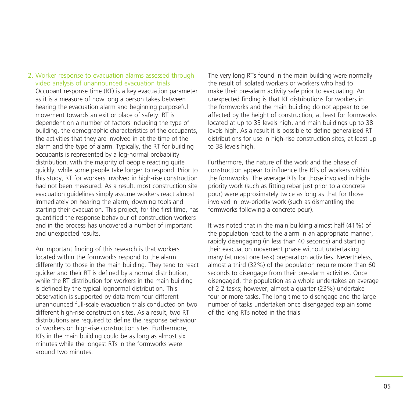2. Worker response to evacuation alarms assessed through video analysis of unannounced evacuation trials Occupant response time (RT) is a key evacuation parameter as it is a measure of how long a person takes between hearing the evacuation alarm and beginning purposeful movement towards an exit or place of safety. RT is dependent on a number of factors including the type of building, the demographic characteristics of the occupants, the activities that they are involved in at the time of the alarm and the type of alarm. Typically, the RT for building occupants is represented by a log-normal probability distribution, with the majority of people reacting quite quickly, while some people take longer to respond. Prior to this study, RT for workers involved in high-rise construction had not been measured. As a result, most construction site evacuation guidelines simply assume workers react almost immediately on hearing the alarm, downing tools and starting their evacuation. This project, for the first time, has quantified the response behaviour of construction workers and in the process has uncovered a number of important and unexpected results.

An important finding of this research is that workers located within the formworks respond to the alarm differently to those in the main building. They tend to react quicker and their RT is defined by a normal distribution, while the RT distribution for workers in the main building is defined by the typical lognormal distribution. This observation is supported by data from four different unannounced full-scale evacuation trials conducted on two different high-rise construction sites. As a result, two RT distributions are required to define the response behaviour of workers on high-rise construction sites. Furthermore, RTs in the main building could be as long as almost six minutes while the longest RTs in the formworks were around two minutes.

The very long RTs found in the main building were normally the result of isolated workers or workers who had to make their pre-alarm activity safe prior to evacuating. An unexpected finding is that RT distributions for workers in the formworks and the main building do not appear to be affected by the height of construction, at least for formworks located at up to 33 levels high, and main buildings up to 38 levels high. As a result it is possible to define generalised RT distributions for use in high-rise construction sites, at least up to 38 levels high.

Furthermore, the nature of the work and the phase of construction appear to influence the RTs of workers within the formworks. The average RTs for those involved in highpriority work (such as fitting rebar just prior to a concrete pour) were approximately twice as long as that for those involved in low-priority work (such as dismantling the formworks following a concrete pour).

It was noted that in the main building almost half (41%) of the population react to the alarm in an appropriate manner, rapidly disengaging (in less than 40 seconds) and starting their evacuation movement phase without undertaking many (at most one task) preparation activities. Nevertheless, almost a third (32%) of the population require more than 60 seconds to disengage from their pre-alarm activities. Once disengaged, the population as a whole undertakes an average of 2.2 tasks; however, almost a quarter (23%) undertake four or more tasks. The long time to disengage and the large number of tasks undertaken once disengaged explain some of the long RTs noted in the trials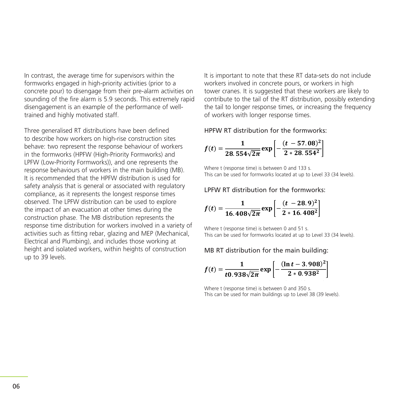In contrast, the average time for supervisors within the formworks engaged in high-priority activities (prior to a concrete pour) to disengage from their pre-alarm activities on towe sounding of the fire alarm is 5.9 seconds. This extremely rapid contri disengagement is an example of the performance of welltrained and highly motivated staff.

Three generalised RT distributions have been defined to describe how workers on high-rise construction sites **Fig. 1.1 Inc. 1** behave: two represent the response behaviour of workers in the formworks (HPFW (High-Priority Formworks) and LPFW (Low-Priority Formworks)), and one represents the response behaviours of workers in the main building (MB). It is recommended that the HPFW distribution is used for safety analysis that is general or associated with regulatory **LAT ALOT distribution** compliance, as it represents the longest response times observed. The LPFW distribution can be used to explore the impact of an evacuation at other times during the construction phase. The MB distribution represents the response time distribution for workers involved in a variety of activities such as fitting rebar, glazing and MEP (Mechanical, Electrical and Plumbing), and includes those working at height and isolated workers, within heights of construction up to 39 levels. **HPFW RT distribution for the formworks:**  Where **the** conserver time is between  $\frac{1}{2}$  s. This can be used for formulation  $\frac{1}{2}$  s. This can be used for formworks located at up to Levelle at up to Levelle at up to Levelle at up to Levelle at up to Levelle a

in the acconstruction in the construction the distribution in the metal of the simportant to note that these RT data-sets do not include or to a workers involved in concrete pours, or workers in high activities on tower cranes. It is suggested that these workers are likely to contribute to the tail of the RT distribution, possibly extending It is the tail to longer response times, or increasing the frequency extending to the tail to longer response times, or increasing the frequency of workers with longer response times.  $\frac{1}{10}$  in the  $\frac{1}{10}$  is important to note that these RT data-sets do not include e of well- the tail to longer response times, or increasing the frequency  $\mathcal{L}_{\text{max}}$  distribution, possibly extending the tail to longer response times, or increasing the frequency of  $\mathcal{L}_{\text{max}}$ 

ned **HPFW RT distribution for the formworks**:

$$
f(t) = \frac{1}{28.554\sqrt{2\pi}} \exp\left[-\frac{(t-57.08)^2}{2*28.554^2}\right]
$$

erits trie<br>Hing (MR) Where t (response time) is between 0 and 133 s. This can be used for formworks located at up to Level 33 (34 levels).

## LPFW RT distribution for the formworks: **LPFW RT distribution for the formworks:**

explore  
g the  
its the  
of 
$$
f(t) = \frac{1}{16.408\sqrt{2\pi}} exp \left[-\frac{(t - 28.9)^2}{2 * 16.408^2}\right]
$$

Where t (response time) is between 0 and 51 s. This can be used for formworks located at up to Level 33 (34 levels).

### MB RT distribution for the main building: **MB RT distribution for the main building:**

$$
f(t) = \frac{1}{t0.938\sqrt{2\pi}} \exp \left[-\frac{(\ln t - 3.908)^2}{2 * 0.938^2}\right]
$$

Where t (response time) is between 0 and 350 s. This can be used for main buildings up to Level 38 (39 levels). Where *t* (response time) is between 0 and 350 s. This can be used for main buildings up to Level 38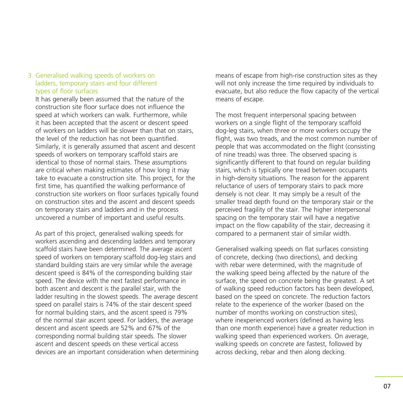### 3. Generalised walking speeds of workers on ladders, temporary stairs and four different types of floor surfaces

It has generally been assumed that the nature of the construction site floor surface does not influence the speed at which workers can walk. Furthermore, while it has been accepted that the ascent or descent speed of workers on ladders will be slower than that on stairs, the level of the reduction has not been quantified. Similarly, it is generally assumed that ascent and descent speeds of workers on temporary scaffold stairs are identical to those of normal stairs. These assumptions are critical when making estimates of how long it may take to evacuate a construction site. This project, for the first time, has quantified the walking performance of construction site workers on floor surfaces typically found on construction sites and the ascent and descent speeds on temporary stairs and ladders and in the process uncovered a number of important and useful results.

As part of this project, generalised walking speeds for workers ascending and descending ladders and temporary scaffold stairs have been determined. The average ascent speed of workers on temporary scaffold dog-leg stairs and standard building stairs are very similar while the average descent speed is 84% of the corresponding building stair speed. The device with the next fastest performance in both ascent and descent is the parallel stair, with the ladder resulting in the slowest speeds. The average descent speed on parallel stairs is 74% of the stair descent speed for normal building stairs, and the ascent speed is 79% of the normal stair ascent speed. For ladders, the average descent and ascent speeds are 52% and 67% of the corresponding normal building stair speeds. The slower ascent and descent speeds on these vertical access devices are an important consideration when determining means of escape from high-rise construction sites as they will not only increase the time required by individuals to evacuate, but also reduce the flow capacity of the vertical means of escape.

The most frequent interpersonal spacing between workers on a single flight of the temporary scaffold dog-leg stairs, when three or more workers occupy the flight, was two treads, and the most common number of people that was accommodated on the flight (consisting of nine treads) was three. The observed spacing is significantly different to that found on regular building stairs, which is typically one tread between occupants in high-density situations. The reason for the apparent reluctance of users of temporary stairs to pack more densely is not clear. It may simply be a result of the smaller tread depth found on the temporary stair or the perceived fragility of the stair. The higher interpersonal spacing on the temporary stair will have a negative impact on the flow capability of the stair, decreasing it compared to a permanent stair of similar width.

Generalised walking speeds on flat surfaces consisting of concrete, decking (two directions), and decking with rebar were determined, with the magnitude of the walking speed being affected by the nature of the surface, the speed on concrete being the greatest. A set of walking speed reduction factors has been developed, based on the speed on concrete. The reduction factors relate to the experience of the worker (based on the number of months working on construction sites), where inexperienced workers (defined as having less than one month experience) have a greater reduction in walking speed than experienced workers. On average, walking speeds on concrete are fastest, followed by across decking, rebar and then along decking.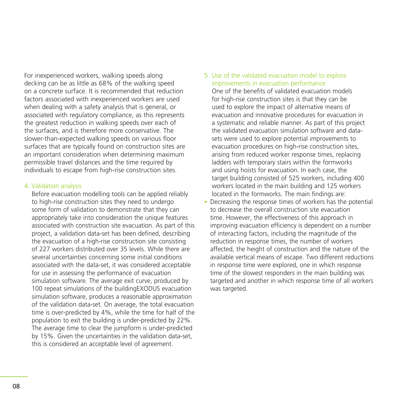For inexperienced workers, walking speeds along decking can be as little as 68% of the walking speed on a concrete surface. It is recommended that reduction factors associated with inexperienced workers are used when dealing with a safety analysis that is general, or associated with regulatory compliance, as this represents the greatest reduction in walking speeds over each of the surfaces, and is therefore more conservative. The slower-than-expected walking speeds on various floor surfaces that are typically found on construction sites are an important consideration when determining maximum permissible travel distances and the time required by individuals to escape from high-rise construction sites.

#### 4. Validation analysis

Before evacuation modelling tools can be applied reliably to high-rise construction sites they need to undergo some form of validation to demonstrate that they can appropriately take into consideration the unique features associated with construction site evacuation. As part of this project, a validation data-set has been defined, describing the evacuation of a high-rise construction site consisting of 227 workers distributed over 35 levels. While there are several uncertainties concerning some initial conditions associated with the data-set, it was considered acceptable for use in assessing the performance of evacuation simulation software. The average exit curve, produced by 100 repeat simulations of the buildingEXODUS evacuation simulation software, produces a reasonable approximation of the validation data-set. On average, the total evacuation time is over-predicted by 4%, while the time for half of the population to exit the building is under-predicted by 22%. The average time to clear the jumpform is under-predicted by 15%. Given the uncertainties in the validation data-set, this is considered an acceptable level of agreement.

5. Use of the validated evacuation model to explore improvements in evacuation performance

One of the benefits of validated evacuation models for high-rise construction sites is that they can be used to explore the impact of alternative means of evacuation and innovative procedures for evacuation in a systematic and reliable manner. As part of this project the validated evacuation simulation software and datasets were used to explore potential improvements to evacuation procedures on high-rise construction sites, arising from reduced worker response times, replacing ladders with temporary stairs within the formworks and using hoists for evacuation. In each case, the target building consisted of 525 workers, including 400 workers located in the main building and 125 workers located in the formworks. The main findings are:

- Decreasing the response times of workers has the potential to decrease the overall construction site evacuation time. However, the effectiveness of this approach in improving evacuation efficiency is dependent on a number of interacting factors, including the magnitude of the reduction in response times, the number of workers affected, the height of construction and the nature of the available vertical means of escape. Two different reductions in response time were explored, one in which response time of the slowest responders in the main building was targeted and another in which response time of all workers was targeted.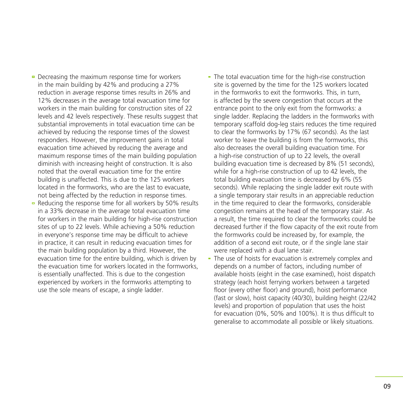- $\overline{P}$  Decreasing the maximum response time for workers in the main building by 42% and producing a 27% reduction in average response times results in 26% and 12% decreases in the average total evacuation time for workers in the main building for construction sites of 22 levels and 42 levels respectively. These results suggest that substantial improvements in total evacuation time can be achieved by reducing the response times of the slowest responders. However, the improvement gains in total evacuation time achieved by reducing the average and maximum response times of the main building population diminish with increasing height of construction. It is also noted that the overall evacuation time for the entire building is unaffected. This is due to the 125 workers located in the formworks, who are the last to evacuate, not being affected by the reduction in response times.
- Reducing the response time for all workers by 50% results in a 33% decrease in the average total evacuation time for workers in the main building for high-rise construction sites of up to 22 levels. While achieving a 50% reduction in everyone's response time may be difficult to achieve in practice, it can result in reducing evacuation times for the main building population by a third. However, the evacuation time for the entire building, which is driven by the evacuation time for workers located in the formworks, is essentially unaffected. This is due to the congestion experienced by workers in the formworks attempting to use the sole means of escape, a single ladder.
- The total evacuation time for the high-rise construction site is governed by the time for the 125 workers located in the formworks to exit the formworks. This, in turn, is affected by the severe congestion that occurs at the entrance point to the only exit from the formworks: a single ladder. Replacing the ladders in the formworks with temporary scaffold dog-leg stairs reduces the time required to clear the formworks by 17% (67 seconds). As the last worker to leave the building is from the formworks, this also decreases the overall building evacuation time. For a high-rise construction of up to 22 levels, the overall building evacuation time is decreased by 8% (51 seconds), while for a high-rise construction of up to 42 levels, the total building evacuation time is decreased by 6% (55 seconds). While replacing the single ladder exit route with a single temporary stair results in an appreciable reduction in the time required to clear the formworks, considerable congestion remains at the head of the temporary stair. As a result, the time required to clear the formworks could be decreased further if the flow capacity of the exit route from the formworks could be increased by, for example, the addition of a second exit route, or if the single lane stair were replaced with a dual lane stair.
- The use of hoists for evacuation is extremely complex and depends on a number of factors, including number of available hoists (eight in the case examined), hoist dispatch strategy (each hoist ferrying workers between a targeted floor (every other floor) and ground), hoist performance (fast or slow), hoist capacity (40/30), building height (22/42 levels) and proportion of population that uses the hoist for evacuation (0%, 50% and 100%). It is thus difficult to generalise to accommodate all possible or likely situations.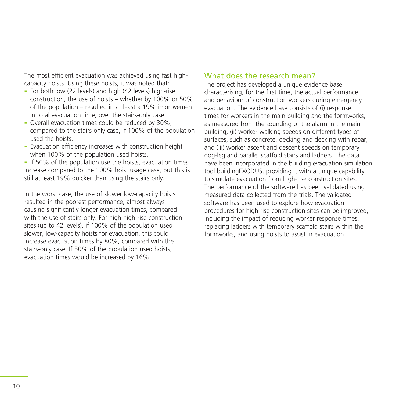The most efficient evacuation was achieved using fast highcapacity hoists. Using these hoists, it was noted that:

- For both low (22 levels) and high (42 levels) high-rise construction, the use of hoists – whether by 100% or 50% of the population – resulted in at least a 19% improvement in total evacuation time, over the stairs-only case.
- Overall evacuation times could be reduced by 30%, compared to the stairs only case, if 100% of the population used the hoists.
- Evacuation efficiency increases with construction height when 100% of the population used hoists.

- If 50% of the population use the hoists, evacuation times increase compared to the 100% hoist usage case, but this is still at least 19% quicker than using the stairs only.

In the worst case, the use of slower low-capacity hoists resulted in the poorest performance, almost always causing significantly longer evacuation times, compared with the use of stairs only. For high high-rise construction sites (up to 42 levels), if 100% of the population used slower, low-capacity hoists for evacuation, this could increase evacuation times by 80%, compared with the stairs-only case. If 50% of the population used hoists, evacuation times would be increased by 16%.

## What does the research mean?

The project has developed a unique evidence base characterising, for the first time, the actual performance and behaviour of construction workers during emergency evacuation. The evidence base consists of (i) response times for workers in the main building and the formworks, as measured from the sounding of the alarm in the main building, (ii) worker walking speeds on different types of surfaces, such as concrete, decking and decking with rebar, and (iii) worker ascent and descent speeds on temporary dog-leg and parallel scaffold stairs and ladders. The data have been incorporated in the building evacuation simulation tool buildingEXODUS, providing it with a unique capability to simulate evacuation from high-rise construction sites. The performance of the software has been validated using measured data collected from the trials. The validated software has been used to explore how evacuation procedures for high-rise construction sites can be improved, including the impact of reducing worker response times, replacing ladders with temporary scaffold stairs within the formworks, and using hoists to assist in evacuation.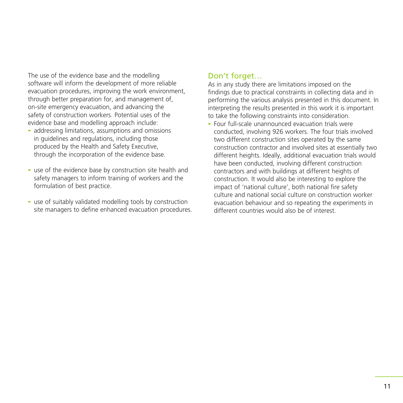The use of the evidence base and the modelling software will inform the development of more reliable evacuation procedures, improving the work environment, through better preparation for, and management of, on-site emergency evacuation, and advancing the safety of construction workers. Potential uses of the evidence base and modelling approach include:

- addressing limitations, assumptions and omissions in guidelines and regulations, including those produced by the Health and Safety Executive, through the incorporation of the evidence base.
- use of the evidence base by construction site health and safety managers to inform training of workers and the formulation of best practice.
- use of suitably validated modelling tools by construction site managers to define enhanced evacuation procedures.

## Don't forget...

As in any study there are limitations imposed on the findings due to practical constraints in collecting data and in performing the various analysis presented in this document. In interpreting the results presented in this work it is important to take the following constraints into consideration.

- Four full-scale unannounced evacuation trials were conducted, involving 926 workers. The four trials involved two different construction sites operated by the same construction contractor and involved sites at essentially two different heights. Ideally, additional evacuation trials would have been conducted, involving different construction contractors and with buildings at different heights of construction. It would also be interesting to explore the impact of 'national culture', both national fire safety culture and national social culture on construction worker evacuation behaviour and so repeating the experiments in different countries would also be of interest.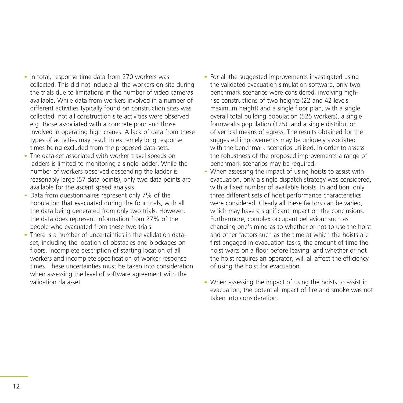- In total, response time data from 270 workers was collected. This did not include all the workers on-site during the trials due to limitations in the number of video cameras available. While data from workers involved in a number of different activities typically found on construction sites was collected, not all construction site activities were observed e.g. those associated with a concrete pour and those involved in operating high cranes. A lack of data from these types of activities may result in extremely long response times being excluded from the proposed data-sets.
- The data-set associated with worker travel speeds on ladders is limited to monitoring a single ladder. While the number of workers observed descending the ladder is reasonably large (57 data points), only two data points are available for the ascent speed analysis.
- Data from questionnaires represent only 7% of the population that evacuated during the four trials, with all the data being generated from only two trials. However, the data does represent information from 27% of the people who evacuated from these two trials.
- There is a number of uncertainties in the validation dataset, including the location of obstacles and blockages on floors, incomplete description of starting location of all workers and incomplete specification of worker response times. These uncertainties must be taken into consideration when assessing the level of software agreement with the validation data-set.
- For all the suggested improvements investigated using the validated evacuation simulation software, only two benchmark scenarios were considered, involving highrise constructions of two heights (22 and 42 levels maximum height) and a single floor plan, with a single overall total building population (525 workers), a single formworks population (125), and a single distribution of vertical means of egress. The results obtained for the suggested improvements may be uniquely associated with the benchmark scenarios utilised. In order to assess the robustness of the proposed improvements a range of benchmark scenarios may be required.
- When assessing the impact of using hoists to assist with evacuation, only a single dispatch strategy was considered, with a fixed number of available hoists. In addition, only three different sets of hoist performance characteristics were considered. Clearly all these factors can be varied, which may have a significant impact on the conclusions. Furthermore, complex occupant behaviour such as changing one's mind as to whether or not to use the hoist and other factors such as the time at which the hoists are first engaged in evacuation tasks, the amount of time the hoist waits on a floor before leaving, and whether or not the hoist requires an operator, will all affect the efficiency of using the hoist for evacuation.
- When assessing the impact of using the hoists to assist in evacuation, the potential impact of fire and smoke was not taken into consideration.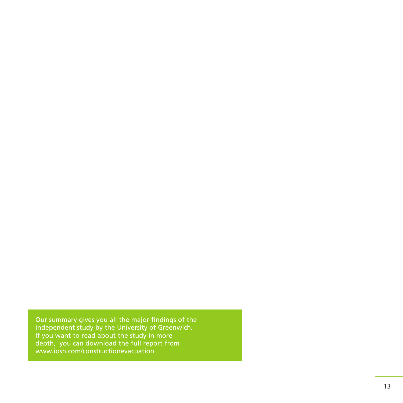Our summary gives you all the major findings of the independent study by the University of Greenwich. If you want to read about the study in more depth, you can download the full report from www.iosh.com/constructionevacuation